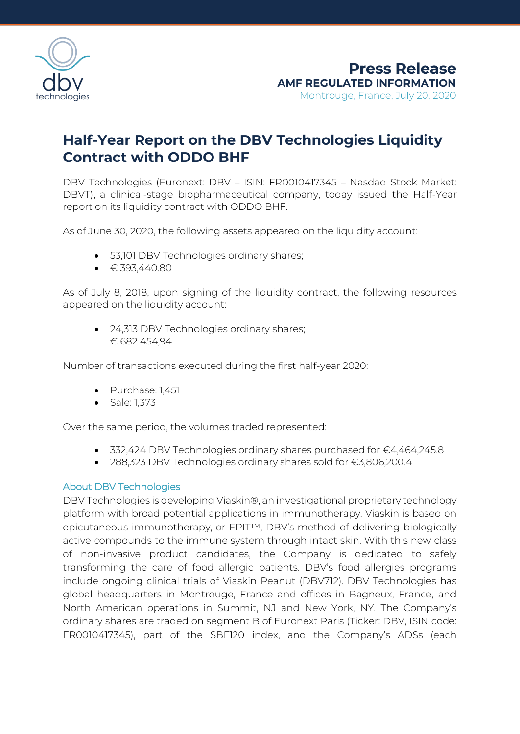

## **Half-Year Report on the DBV Technologies Liquidity Contract with ODDO BHF**

DBV Technologies (Euronext: DBV – ISIN: FR0010417345 – Nasdaq Stock Market: DBVT), a clinical-stage biopharmaceutical company, today issued the Half-Year report on its liquidity contract with ODDO BHF.

As of June 30, 2020, the following assets appeared on the liquidity account:

- 53,101 DBV Technologies ordinary shares;
- $\bullet$   $\in$  393,440.80

As of July 8, 2018, upon signing of the liquidity contract, the following resources appeared on the liquidity account:

• 24,313 DBV Technologies ordinary shares; € 682 454,94

Number of transactions executed during the first half-year 2020:

- Purchase: 1,451
- Sale: 1,373

Over the same period, the volumes traded represented:

- 332,424 DBV Technologies ordinary shares purchased for €4,464,245.8
- 288,323 DBV Technologies ordinary shares sold for €3,806,200.4

## About DBV Technologies

DBV Technologies is developing Viaskin®, an investigational proprietary technology platform with broad potential applications in immunotherapy. Viaskin is based on epicutaneous immunotherapy, or EPIT™, DBV's method of delivering biologically active compounds to the immune system through intact skin. With this new class of non-invasive product candidates, the Company is dedicated to safely transforming the care of food allergic patients. DBV's food allergies programs include ongoing clinical trials of Viaskin Peanut (DBV712). DBV Technologies has global headquarters in Montrouge, France and offices in Bagneux, France, and North American operations in Summit, NJ and New York, NY. The Company's ordinary shares are traded on segment B of Euronext Paris (Ticker: DBV, ISIN code: FR0010417345), part of the SBF120 index, and the Company's ADSs (each